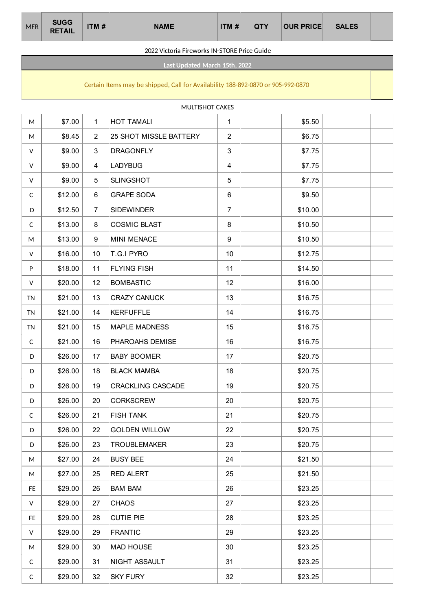| <b>MFR</b> | <b>SUGG</b><br><b>RETAIL</b> | ITM # | <b>NAME</b> | ITM# | <b>QTY</b> | <b>OUR PRICE</b> | <b>SALES</b> |  |
|------------|------------------------------|-------|-------------|------|------------|------------------|--------------|--|
|            |                              |       |             |      |            |                  |              |  |

#### 2022 Victoria Fireworks IN-STORE Price Guide

**Last Updated March 15th, 2022**

## Certain Items may be shipped, Call for Availability 188-892-0870 or 905-992-0870

MULTISHOT CAKES

| M            | \$7.00  | $\mathbf{1}$    | <b>HOT TAMALI</b>        | $\mathbf{1}$   | \$5.50  |  |
|--------------|---------|-----------------|--------------------------|----------------|---------|--|
|              |         |                 |                          |                |         |  |
| M            | \$8.45  | $\overline{2}$  | 25 SHOT MISSLE BATTERY   | $\overline{2}$ | \$6.75  |  |
| V            | \$9.00  | 3               | <b>DRAGONFLY</b>         | 3              | \$7.75  |  |
| V            | \$9.00  | 4               | <b>LADYBUG</b>           | 4              | \$7.75  |  |
| $\mathsf{V}$ | \$9.00  | 5               | <b>SLINGSHOT</b>         | 5              | \$7.75  |  |
| C            | \$12.00 | 6               | <b>GRAPE SODA</b>        | 6              | \$9.50  |  |
| D            | \$12.50 | $\overline{7}$  | <b>SIDEWINDER</b>        | $\overline{7}$ | \$10.00 |  |
| $\mathsf{C}$ | \$13.00 | 8               | <b>COSMIC BLAST</b>      | 8              | \$10.50 |  |
| M            | \$13.00 | 9               | MINI MENACE              | 9              | \$10.50 |  |
| V            | \$16.00 | 10 <sup>°</sup> | T.G.I PYRO               | 10             | \$12.75 |  |
| P            | \$18.00 | 11              | <b>FLYING FISH</b>       | 11             | \$14.50 |  |
| V            | \$20.00 | 12              | <b>BOMBASTIC</b>         | 12             | \$16.00 |  |
| <b>TN</b>    | \$21.00 | 13              | <b>CRAZY CANUCK</b>      | 13             | \$16.75 |  |
| <b>TN</b>    | \$21.00 | 14              | <b>KERFUFFLE</b>         | 14             | \$16.75 |  |
| <b>TN</b>    | \$21.00 | 15              | <b>MAPLE MADNESS</b>     | 15             | \$16.75 |  |
| C            | \$21.00 | 16              | PHAROAHS DEMISE          | 16             | \$16.75 |  |
| D            | \$26.00 | 17              | <b>BABY BOOMER</b>       | 17             | \$20.75 |  |
| D            | \$26.00 | 18              | <b>BLACK MAMBA</b>       | 18             | \$20.75 |  |
| D            | \$26.00 | 19              | <b>CRACKLING CASCADE</b> | 19             | \$20.75 |  |
| D            | \$26.00 | 20              | <b>CORKSCREW</b>         | 20             | \$20.75 |  |
| $\mathsf{C}$ | \$26.00 | 21              | <b>FISH TANK</b>         | 21             | \$20.75 |  |
| D            | \$26.00 | 22              | <b>GOLDEN WILLOW</b>     | 22             | \$20.75 |  |
| D            | \$26.00 | 23              | <b>TROUBLEMAKER</b>      | 23             | \$20.75 |  |
| M            | \$27.00 | 24              | <b>BUSY BEE</b>          | 24             | \$21.50 |  |
| M            | \$27.00 | 25              | <b>RED ALERT</b>         | 25             | \$21.50 |  |
| FE.          | \$29.00 | 26              | <b>BAM BAM</b>           | 26             | \$23.25 |  |
| V            | \$29.00 | 27              | <b>CHAOS</b>             | 27             | \$23.25 |  |
| FE.          | \$29.00 | 28              | <b>CUTIE PIE</b>         | 28             | \$23.25 |  |
| $\mathsf{V}$ | \$29.00 | 29              | <b>FRANTIC</b>           | 29             | \$23.25 |  |
| M            | \$29.00 | 30              | <b>MAD HOUSE</b>         | 30             | \$23.25 |  |
| C            | \$29.00 | 31              | NIGHT ASSAULT            | 31             | \$23.25 |  |
| $\mathsf{C}$ | \$29.00 | 32              | <b>SKY FURY</b>          | 32             | \$23.25 |  |
|              |         |                 |                          |                |         |  |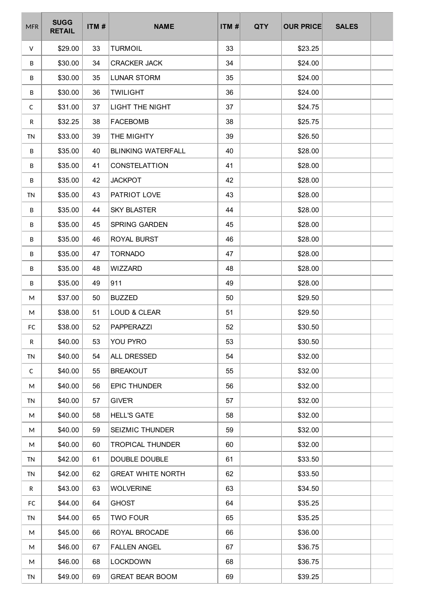| <b>MFR</b>   | <b>SUGG</b><br><b>RETAIL</b> | ITM# | <b>NAME</b>               | ITM# | <b>QTY</b> | <b>OUR PRICE</b> | <b>SALES</b> |  |
|--------------|------------------------------|------|---------------------------|------|------------|------------------|--------------|--|
| V            | \$29.00                      | 33   | <b>TURMOIL</b>            | 33   |            | \$23.25          |              |  |
| B            | \$30.00                      | 34   | <b>CRACKER JACK</b>       | 34   |            | \$24.00          |              |  |
| B            | \$30.00                      | 35   | <b>LUNAR STORM</b>        | 35   |            | \$24.00          |              |  |
| B            | \$30.00                      | 36   | <b>TWILIGHT</b>           | 36   |            | \$24.00          |              |  |
| C            | \$31.00                      | 37   | <b>LIGHT THE NIGHT</b>    | 37   |            | \$24.75          |              |  |
| R            | \$32.25                      | 38   | <b>FACEBOMB</b>           | 38   |            | \$25.75          |              |  |
| <b>TN</b>    | \$33.00                      | 39   | THE MIGHTY                | 39   |            | \$26.50          |              |  |
| B            | \$35.00                      | 40   | <b>BLINKING WATERFALL</b> | 40   |            | \$28.00          |              |  |
| B            | \$35.00                      | 41   | <b>CONSTELATTION</b>      | 41   |            | \$28.00          |              |  |
| B            | \$35.00                      | 42   | <b>JACKPOT</b>            | 42   |            | \$28.00          |              |  |
| <b>TN</b>    | \$35.00                      | 43   | PATRIOT LOVE              | 43   |            | \$28.00          |              |  |
| B            | \$35.00                      | 44   | <b>SKY BLASTER</b>        | 44   |            | \$28.00          |              |  |
| B            | \$35.00                      | 45   | SPRING GARDEN             | 45   |            | \$28.00          |              |  |
| B            | \$35.00                      | 46   | ROYAL BURST               | 46   |            | \$28.00          |              |  |
| B            | \$35.00                      | 47   | <b>TORNADO</b>            | 47   |            | \$28.00          |              |  |
| B            | \$35.00                      | 48   | <b>WIZZARD</b>            | 48   |            | \$28.00          |              |  |
| B            | \$35.00                      | 49   | 911                       | 49   |            | \$28.00          |              |  |
| М            | \$37.00                      | 50   | <b>BUZZED</b>             | 50   |            | \$29.50          |              |  |
| M            | \$38.00                      | 51   | LOUD & CLEAR              | 51   |            | \$29.50          |              |  |
| FC           | \$38.00                      | 52   | PAPPERAZZI                | 52   |            | \$30.50          |              |  |
| R            | \$40.00                      | 53   | YOU PYRO                  | 53   |            | \$30.50          |              |  |
| <b>TN</b>    | \$40.00                      | 54   | ALL DRESSED               | 54   |            | \$32.00          |              |  |
| $\mathsf{C}$ | \$40.00                      | 55   | <b>BREAKOUT</b>           | 55   |            | \$32.00          |              |  |
| M            | \$40.00                      | 56   | <b>EPIC THUNDER</b>       | 56   |            | \$32.00          |              |  |
| <b>TN</b>    | \$40.00                      | 57   | <b>GIVE'R</b>             | 57   |            | \$32.00          |              |  |
| M            | \$40.00                      | 58   | <b>HELL'S GATE</b>        | 58   |            | \$32.00          |              |  |
| M            | \$40.00                      | 59   | SEIZMIC THUNDER           | 59   |            | \$32.00          |              |  |
| M            | \$40.00                      | 60   | <b>TROPICAL THUNDER</b>   | 60   |            | \$32.00          |              |  |
| TN           | \$42.00                      | 61   | DOUBLE DOUBLE             | 61   |            | \$33.50          |              |  |
| <b>TN</b>    | \$42.00                      | 62   | <b>GREAT WHITE NORTH</b>  | 62   |            | \$33.50          |              |  |
| R            | \$43.00                      | 63   | <b>WOLVERINE</b>          | 63   |            | \$34.50          |              |  |
| FC           | \$44.00                      | 64   | <b>GHOST</b>              | 64   |            | \$35.25          |              |  |
| <b>TN</b>    | \$44.00                      | 65   | <b>TWO FOUR</b>           | 65   |            | \$35.25          |              |  |
| M            | \$45.00                      | 66   | ROYAL BROCADE             | 66   |            | \$36.00          |              |  |
| M            | \$46.00                      | 67   | <b>FALLEN ANGEL</b>       | 67   |            | \$36.75          |              |  |
| M            | \$46.00                      | 68   | <b>LOCKDOWN</b>           | 68   |            | \$36.75          |              |  |
| <b>TN</b>    | \$49.00                      | 69   | <b>GREAT BEAR BOOM</b>    | 69   |            | \$39.25          |              |  |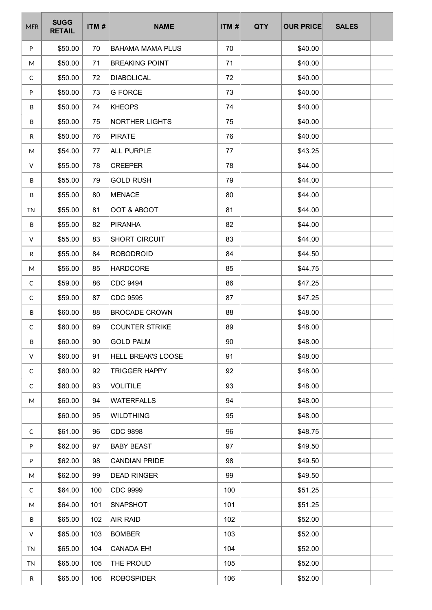| <b>MFR</b>   | <b>SUGG</b><br><b>RETAIL</b> | ITM# | <b>NAME</b>             | ITM# | <b>QTY</b> | <b>OUR PRICE</b> | <b>SALES</b> |  |
|--------------|------------------------------|------|-------------------------|------|------------|------------------|--------------|--|
| ${\sf P}$    | \$50.00                      | 70   | <b>BAHAMA MAMA PLUS</b> | 70   |            | \$40.00          |              |  |
| M            | \$50.00                      | 71   | <b>BREAKING POINT</b>   | 71   |            | \$40.00          |              |  |
| C            | \$50.00                      | 72   | <b>DIABOLICAL</b>       | 72   |            | \$40.00          |              |  |
| P            | \$50.00                      | 73   | <b>G FORCE</b>          | 73   |            | \$40.00          |              |  |
| B            | \$50.00                      | 74   | <b>KHEOPS</b>           | 74   |            | \$40.00          |              |  |
| B            | \$50.00                      | 75   | NORTHER LIGHTS          | 75   |            | \$40.00          |              |  |
| R            | \$50.00                      | 76   | <b>PIRATE</b>           | 76   |            | \$40.00          |              |  |
| M            | \$54.00                      | 77   | ALL PURPLE              | 77   |            | \$43.25          |              |  |
| V            | \$55.00                      | 78   | <b>CREEPER</b>          | 78   |            | \$44.00          |              |  |
| B            | \$55.00                      | 79   | <b>GOLD RUSH</b>        | 79   |            | \$44.00          |              |  |
| B            | \$55.00                      | 80   | <b>MENACE</b>           | 80   |            | \$44.00          |              |  |
| <b>TN</b>    | \$55.00                      | 81   | OOT & ABOOT             | 81   |            | \$44.00          |              |  |
| B            | \$55.00                      | 82   | <b>PIRANHA</b>          | 82   |            | \$44.00          |              |  |
| V            | \$55.00                      | 83   | SHORT CIRCUIT           | 83   |            | \$44.00          |              |  |
| R            | \$55.00                      | 84   | <b>ROBODROID</b>        | 84   |            | \$44.50          |              |  |
| M            | \$56.00                      | 85   | <b>HARDCORE</b>         | 85   |            | \$44.75          |              |  |
| $\mathsf C$  | \$59.00                      | 86   | <b>CDC 9494</b>         | 86   |            | \$47.25          |              |  |
| $\mathsf C$  | \$59.00                      | 87   | <b>CDC 9595</b>         | 87   |            | \$47.25          |              |  |
| B            | \$60.00                      | 88   | <b>BROCADE CROWN</b>    | 88   |            | \$48.00          |              |  |
| $\mathsf{C}$ | \$60.00                      | 89   | <b>COUNTER STRIKE</b>   | 89   |            | \$48.00          |              |  |
| B            | \$60.00                      | 90   | <b>GOLD PALM</b>        | 90   |            | \$48.00          |              |  |
| V            | \$60.00                      | 91   | HELL BREAK'S LOOSE      | 91   |            | \$48.00          |              |  |
| $\mathsf{C}$ | \$60.00                      | 92   | <b>TRIGGER HAPPY</b>    | 92   |            | \$48.00          |              |  |
| $\mathsf{C}$ | \$60.00                      | 93   | <b>VOLITILE</b>         | 93   |            | \$48.00          |              |  |
| M            | \$60.00                      | 94   | <b>WATERFALLS</b>       | 94   |            | \$48.00          |              |  |
|              | \$60.00                      | 95   | <b>WILDTHING</b>        | 95   |            | \$48.00          |              |  |
| $\mathsf{C}$ | \$61.00                      | 96   | <b>CDC 9898</b>         | 96   |            | \$48.75          |              |  |
| P            | \$62.00                      | 97   | <b>BABY BEAST</b>       | 97   |            | \$49.50          |              |  |
| P            | \$62.00                      | 98   | <b>CANDIAN PRIDE</b>    | 98   |            | \$49.50          |              |  |
| M            | \$62.00                      | 99   | <b>DEAD RINGER</b>      | 99   |            | \$49.50          |              |  |
| $\mathsf{C}$ | \$64.00                      | 100  | <b>CDC 9999</b>         | 100  |            | \$51.25          |              |  |
| M            | \$64.00                      | 101  | SNAPSHOT                | 101  |            | \$51.25          |              |  |
| B            | \$65.00                      | 102  | AIR RAID                | 102  |            | \$52.00          |              |  |
| V            | \$65.00                      | 103  | <b>BOMBER</b>           | 103  |            | \$52.00          |              |  |
| <b>TN</b>    | \$65.00                      | 104  | <b>CANADA EH!</b>       | 104  |            | \$52.00          |              |  |
| TN           | \$65.00                      | 105  | THE PROUD               | 105  |            | \$52.00          |              |  |
| R            | \$65.00                      | 106  | <b>ROBOSPIDER</b>       | 106  |            | \$52.00          |              |  |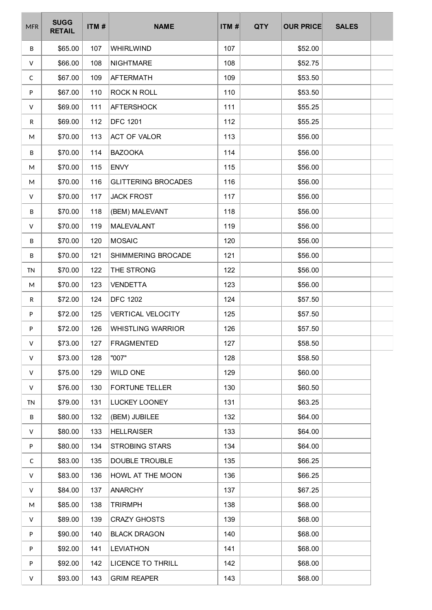| <b>MFR</b> | <b>SUGG</b><br><b>RETAIL</b> | ITM# | <b>NAME</b>                | ITM# | <b>QTY</b> | <b>OUR PRICE</b> | <b>SALES</b> |  |
|------------|------------------------------|------|----------------------------|------|------------|------------------|--------------|--|
| B          | \$65.00                      | 107  | WHIRLWIND                  | 107  |            | \$52.00          |              |  |
| V          | \$66.00                      | 108  | <b>NIGHTMARE</b>           | 108  |            | \$52.75          |              |  |
| C          | \$67.00                      | 109  | <b>AFTERMATH</b>           | 109  |            | \$53.50          |              |  |
| P          | \$67.00                      | 110  | <b>ROCK N ROLL</b>         | 110  |            | \$53.50          |              |  |
| V          | \$69.00                      | 111  | <b>AFTERSHOCK</b>          | 111  |            | \$55.25          |              |  |
| R          | \$69.00                      | 112  | <b>DFC 1201</b>            | 112  |            | \$55.25          |              |  |
| M          | \$70.00                      | 113  | <b>ACT OF VALOR</b>        | 113  |            | \$56.00          |              |  |
| B          | \$70.00                      | 114  | <b>BAZOOKA</b>             | 114  |            | \$56.00          |              |  |
| M          | \$70.00                      | 115  | <b>ENVY</b>                | 115  |            | \$56.00          |              |  |
| M          | \$70.00                      | 116  | <b>GLITTERING BROCADES</b> | 116  |            | \$56.00          |              |  |
| V          | \$70.00                      | 117  | <b>JACK FROST</b>          | 117  |            | \$56.00          |              |  |
| B          | \$70.00                      | 118  | (BEM) MALEVANT             | 118  |            | \$56.00          |              |  |
| V          | \$70.00                      | 119  | <b>MALEVALANT</b>          | 119  |            | \$56.00          |              |  |
| B          | \$70.00                      | 120  | <b>MOSAIC</b>              | 120  |            | \$56.00          |              |  |
| В          | \$70.00                      | 121  | SHIMMERING BROCADE         | 121  |            | \$56.00          |              |  |
| <b>TN</b>  | \$70.00                      | 122  | THE STRONG                 | 122  |            | \$56.00          |              |  |
| M          | \$70.00                      | 123  | <b>VENDETTA</b>            | 123  |            | \$56.00          |              |  |
| R          | \$72.00                      | 124  | <b>DFC 1202</b>            | 124  |            | \$57.50          |              |  |
| P          | \$72.00                      | 125  | <b>VERTICAL VELOCITY</b>   | 125  |            | \$57.50          |              |  |
| P          | \$72.00                      | 126  | <b>WHISTLING WARRIOR</b>   | 126  |            | \$57.50          |              |  |
| V          | \$73.00                      | 127  | <b>FRAGMENTED</b>          | 127  |            | \$58.50          |              |  |
| V          | \$73.00                      | 128  | "007"                      | 128  |            | \$58.50          |              |  |
| V          | \$75.00                      | 129  | WILD ONE                   | 129  |            | \$60.00          |              |  |
| V          | \$76.00                      | 130  | <b>FORTUNE TELLER</b>      | 130  |            | \$60.50          |              |  |
| <b>TN</b>  | \$79.00                      | 131  | <b>LUCKEY LOONEY</b>       | 131  |            | \$63.25          |              |  |
| B          | \$80.00                      | 132  | (BEM) JUBILEE              | 132  |            | \$64.00          |              |  |
| V          | \$80.00                      | 133  | <b>HELLRAISER</b>          | 133  |            | \$64.00          |              |  |
| P          | \$80.00                      | 134  | <b>STROBING STARS</b>      | 134  |            | \$64.00          |              |  |
| C          | \$83.00                      | 135  | DOUBLE TROUBLE             | 135  |            | \$66.25          |              |  |
| V          | \$83.00                      | 136  | HOWL AT THE MOON           | 136  |            | \$66.25          |              |  |
| V          | \$84.00                      | 137  | <b>ANARCHY</b>             | 137  |            | \$67.25          |              |  |
| M          | \$85.00                      | 138  | <b>TRIRMPH</b>             | 138  |            | \$68.00          |              |  |
| V          | \$89.00                      | 139  | <b>CRAZY GHOSTS</b>        | 139  |            | \$68.00          |              |  |
| P          | \$90.00                      | 140  | <b>BLACK DRAGON</b>        | 140  |            | \$68.00          |              |  |
| P          | \$92.00                      | 141  | <b>LEVIATHON</b>           | 141  |            | \$68.00          |              |  |
| P          | \$92.00                      | 142  | <b>LICENCE TO THRILL</b>   | 142  |            | \$68.00          |              |  |
| V          | \$93.00                      | 143  | <b>GRIM REAPER</b>         | 143  |            | \$68.00          |              |  |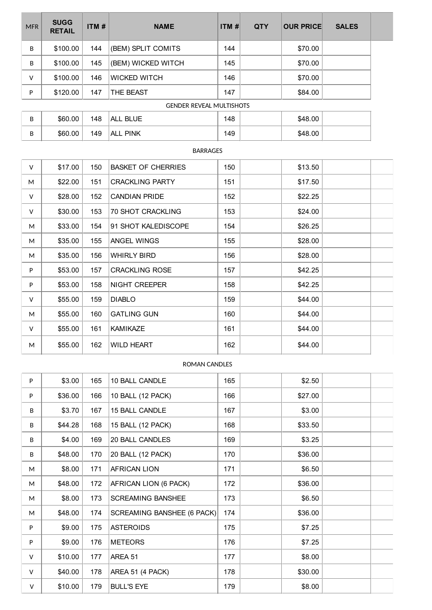| <b>MFR</b> | <b>SUGG</b><br><b>RETAIL</b>    | ITM $#$ | <b>NAME</b>         | ITM# | <b>QTY</b> | <b>OUR PRICE</b> | <b>SALES</b> |  |
|------------|---------------------------------|---------|---------------------|------|------------|------------------|--------------|--|
| B          | \$100.00                        | 144     | (BEM) SPLIT COMITS  | 144  |            | \$70.00          |              |  |
| B          | \$100.00                        | 145     | (BEM) WICKED WITCH  | 145  |            | \$70.00          |              |  |
| v          | \$100.00                        | 146     | <b>WICKED WITCH</b> | 146  |            | \$70.00          |              |  |
| P          | \$120.00                        | 147     | <b>THE BEAST</b>    | 147  |            | \$84.00          |              |  |
|            | <b>GENDER REVEAL MULTISHOTS</b> |         |                     |      |            |                  |              |  |
| B          | \$60.00                         | 148     | ALL BLUE            | 148  |            | \$48.00          |              |  |

# B | \$60.00 | 149 | ALL PINK | 149 | 149 | \$48.00

### BARRAGES

| v | \$17.00 | 150 | <b>BASKET OF CHERRIES</b> | 150 | \$13.50 |  |
|---|---------|-----|---------------------------|-----|---------|--|
| M | \$22.00 | 151 | <b>CRACKLING PARTY</b>    | 151 | \$17.50 |  |
| V | \$28.00 | 152 | <b>CANDIAN PRIDE</b>      | 152 | \$22.25 |  |
| V | \$30.00 | 153 | 70 SHOT CRACKLING         | 153 | \$24.00 |  |
| M | \$33.00 | 154 | 91 SHOT KALEDISCOPE       | 154 | \$26.25 |  |
| M | \$35.00 | 155 | ANGEL WINGS               | 155 | \$28.00 |  |
| M | \$35.00 | 156 | <b>WHIRLY BIRD</b>        | 156 | \$28.00 |  |
| P | \$53.00 | 157 | <b>CRACKLING ROSE</b>     | 157 | \$42.25 |  |
| P | \$53.00 | 158 | <b>NIGHT CREEPER</b>      | 158 | \$42.25 |  |
| V | \$55.00 | 159 | <b>DIABLO</b>             | 159 | \$44.00 |  |
| M | \$55.00 | 160 | <b>GATLING GUN</b>        | 160 | \$44.00 |  |
| V | \$55.00 | 161 | <b>KAMIKAZE</b>           | 161 | \$44.00 |  |
| M | \$55.00 | 162 | <b>WILD HEART</b>         | 162 | \$44.00 |  |
|   |         |     |                           |     |         |  |

#### ROMAN CANDLES

| P      | \$3.00  | 165 | 10 BALL CANDLE             | 165 | \$2.50  |  |
|--------|---------|-----|----------------------------|-----|---------|--|
| P      | \$36.00 | 166 | 10 BALL (12 PACK)          | 166 | \$27.00 |  |
| B      | \$3.70  | 167 | 15 BALL CANDLE             | 167 | \$3.00  |  |
| B      | \$44.28 | 168 | 15 BALL (12 PACK)          | 168 | \$33.50 |  |
| B      | \$4.00  | 169 | 20 BALL CANDLES            | 169 | \$3.25  |  |
| B      | \$48.00 | 170 | 20 BALL (12 PACK)          | 170 | \$36.00 |  |
| M      | \$8.00  | 171 | <b>AFRICAN LION</b>        | 171 | \$6.50  |  |
| M      | \$48.00 | 172 | AFRICAN LION (6 PACK)      | 172 | \$36.00 |  |
| M      | \$8.00  | 173 | <b>SCREAMING BANSHEE</b>   | 173 | \$6.50  |  |
| M      | \$48.00 | 174 | SCREAMING BANSHEE (6 PACK) | 174 | \$36.00 |  |
| P      | \$9.00  | 175 | <b>ASTEROIDS</b>           | 175 | \$7.25  |  |
| P      | \$9.00  | 176 | <b>METEORS</b>             | 176 | \$7.25  |  |
| V      | \$10.00 | 177 | AREA 51                    | 177 | \$8.00  |  |
| V      | \$40.00 | 178 | AREA 51 (4 PACK)           | 178 | \$30.00 |  |
| $\vee$ | \$10.00 | 179 | <b>BULL'S EYE</b>          | 179 | \$8.00  |  |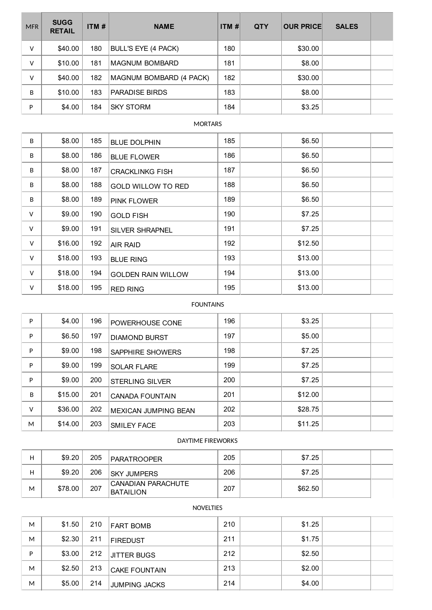| <b>MFR</b> | <b>SUGG</b><br><b>RETAIL</b> | ITM# | <b>NAME</b>                | ITM# | <b>QTY</b> | <b>OUR PRICE</b> | <b>SALES</b> |  |
|------------|------------------------------|------|----------------------------|------|------------|------------------|--------------|--|
| v          | \$40.00                      | 180  | <b>BULL'S EYE (4 PACK)</b> | 180  |            | \$30.00          |              |  |
| v          | \$10.00                      | 181  | <b>MAGNUM BOMBARD</b>      | 181  |            | \$8.00           |              |  |
| v          | \$40.00                      | 182  | MAGNUM BOMBARD (4 PACK)    | 182  |            | \$30.00          |              |  |
| B          | \$10.00                      | 183  | <b>PARADISE BIRDS</b>      | 183  |            | \$8.00           |              |  |
| P          | \$4.00                       | 184  | <b>SKY STORM</b>           | 184  |            | \$3.25           |              |  |

#### **MORTARS**

| B      | \$8.00  | 185 | <b>BLUE DOLPHIN</b>       | 185 | \$6.50  |  |
|--------|---------|-----|---------------------------|-----|---------|--|
| B      | \$8.00  | 186 | <b>BLUE FLOWER</b>        | 186 | \$6.50  |  |
| B      | \$8.00  | 187 | <b>CRACKLINKG FISH</b>    | 187 | \$6.50  |  |
| B      | \$8.00  | 188 | <b>GOLD WILLOW TO RED</b> | 188 | \$6.50  |  |
| B      | \$8.00  | 189 | PINK FLOWER               | 189 | \$6.50  |  |
| v      | \$9.00  | 190 | <b>GOLD FISH</b>          | 190 | \$7.25  |  |
| $\vee$ | \$9.00  | 191 | <b>SILVER SHRAPNEL</b>    | 191 | \$7.25  |  |
| V      | \$16.00 | 192 | AIR RAID                  | 192 | \$12.50 |  |
| V      | \$18.00 | 193 | <b>BLUE RING</b>          | 193 | \$13.00 |  |
| V      | \$18.00 | 194 | <b>GOLDEN RAIN WILLOW</b> | 194 | \$13.00 |  |
| V      | \$18.00 | 195 | <b>RED RING</b>           | 195 | \$13.00 |  |

#### FOUNTAINS

| P | \$4.00  | 196 | POWERHOUSE CONE        | 196 | \$3.25  |  |
|---|---------|-----|------------------------|-----|---------|--|
| P | \$6.50  | 197 | <b>DIAMOND BURST</b>   | 197 | \$5.00  |  |
| P | \$9.00  | 198 | SAPPHIRE SHOWERS       | 198 | \$7.25  |  |
| P | \$9.00  | 199 | <b>SOLAR FLARE</b>     | 199 | \$7.25  |  |
| P | \$9.00  | 200 | <b>STERLING SILVER</b> | 200 | \$7.25  |  |
| B | \$15.00 | 201 | <b>CANADA FOUNTAIN</b> | 201 | \$12.00 |  |
| v | \$36.00 | 202 | MEXICAN JUMPING BEAN   | 202 | \$28.75 |  |
| M | \$14.00 | 203 | <b>SMILEY FACE</b>     | 203 | \$11.25 |  |

#### DAYTIME FIREWORKS

| н | \$9.20  | 205 | <b>PARATROOPER</b>                     | 205 | \$7.25  |  |
|---|---------|-----|----------------------------------------|-----|---------|--|
| н | \$9.20  | 206 | <b>ISKY JUMPERS</b>                    | 206 | \$7.25  |  |
| М | \$78.00 | 207 | CANADIAN PARACHUTE<br><b>BATAILION</b> | 207 | \$62.50 |  |

#### NOVELTIES

| M | \$1.50 | 210 | <b>FART BOMB</b>     | 210 | \$1.25 |  |
|---|--------|-----|----------------------|-----|--------|--|
| M | \$2.30 | 211 | <b>FIREDUST</b>      | 211 | \$1.75 |  |
| D | \$3.00 | 212 | <b>JITTER BUGS</b>   | 212 | \$2.50 |  |
| M | \$2.50 | 213 | <b>CAKE FOUNTAIN</b> | 213 | \$2.00 |  |
| M | \$5.00 | 214 | JUMPING JACKS        | 214 | \$4.00 |  |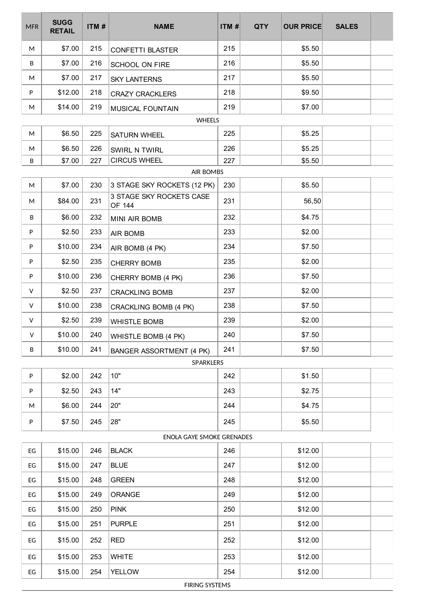| <b>MFR</b> | <b>SUGG</b><br><b>RETAIL</b> | ITM# | <b>NAME</b>                                             | ITM# | <b>QTY</b> | <b>OUR PRICE</b> | <b>SALES</b> |  |
|------------|------------------------------|------|---------------------------------------------------------|------|------------|------------------|--------------|--|
| M          | \$7.00                       | 215  | <b>CONFETTI BLASTER</b>                                 | 215  |            | \$5.50           |              |  |
| B          | \$7.00                       | 216  | <b>SCHOOL ON FIRE</b>                                   | 216  |            | \$5.50           |              |  |
| M          | \$7.00                       | 217  | <b>SKY LANTERNS</b>                                     | 217  |            | \$5.50           |              |  |
| P          | \$12.00                      | 218  | <b>CRAZY CRACKLERS</b>                                  | 218  |            | \$9.50           |              |  |
| M          | \$14.00                      | 219  | MUSICAL FOUNTAIN                                        | 219  |            | \$7.00           |              |  |
|            |                              |      | <b>WHEELS</b>                                           |      |            |                  |              |  |
| M          | \$6.50                       | 225  | <b>SATURN WHEEL</b>                                     | 225  |            | \$5.25           |              |  |
| M          | \$6.50                       | 226  | SWIRL N TWIRL                                           | 226  |            | \$5.25           |              |  |
| B          | \$7.00                       | 227  | <b>CIRCUS WHEEL</b>                                     | 227  |            | \$5.50           |              |  |
|            |                              |      | <b>AIR BOMBS</b>                                        |      |            |                  |              |  |
| M          | \$7.00                       | 230  | 3 STAGE SKY ROCKETS (12 PK)<br>3 STAGE SKY ROCKETS CASE | 230  |            | \$5.50           |              |  |
| M          | \$84.00                      | 231  | OF 144                                                  | 231  |            | 56,50            |              |  |
| B          | \$6.00                       | 232  | MINI AIR BOMB                                           | 232  |            | \$4.75           |              |  |
| P          | \$2.50                       | 233  | AIR BOMB                                                | 233  |            | \$2.00           |              |  |
| P          | \$10.00                      | 234  | AIR BOMB (4 PK)                                         | 234  |            | \$7.50           |              |  |
| P          | \$2.50                       | 235  | <b>CHERRY BOMB</b>                                      | 235  |            | \$2.00           |              |  |
| P          | \$10.00                      | 236  | CHERRY BOMB (4 PK)                                      | 236  |            | \$7.50           |              |  |
| V          | \$2.50                       | 237  | <b>CRACKLING BOMB</b>                                   | 237  |            | \$2.00           |              |  |
| V          | \$10.00                      | 238  | CRACKLING BOMB (4 PK)                                   | 238  |            | \$7.50           |              |  |
| V          | \$2.50                       | 239  | <b>WHISTLE BOMB</b>                                     | 239  |            | \$2.00           |              |  |
| V          | \$10.00                      | 240  | WHISTLE BOMB (4 PK)                                     | 240  |            | \$7.50           |              |  |
| B          | \$10.00                      | 241  | <b>BANGER ASSORTMENT (4 PK)</b>                         | 241  |            | \$7.50           |              |  |
|            |                              |      | SPARKLERS                                               |      |            |                  |              |  |
| P          | \$2.00                       | 242  | 10"                                                     | 242  |            | \$1.50           |              |  |
| P          | \$2.50                       | 243  | 14"                                                     | 243  |            | \$2.75           |              |  |
| M          | \$6.00                       | 244  | 20"                                                     | 244  |            | \$4.75           |              |  |
| P          | \$7.50                       | 245  | 28"                                                     | 245  |            | \$5.50           |              |  |
|            | ENOLA GAYE SMOKE GRENADES    |      |                                                         |      |            |                  |              |  |
| EG         | \$15.00                      | 246  | <b>BLACK</b>                                            | 246  |            | \$12.00          |              |  |
| EG         | \$15.00                      | 247  | <b>BLUE</b>                                             | 247  |            | \$12.00          |              |  |
| EG         | \$15.00                      | 248  | <b>GREEN</b>                                            | 248  |            | \$12.00          |              |  |
| EG         | \$15.00                      | 249  | ORANGE                                                  | 249  |            | \$12.00          |              |  |
| EG         | \$15.00                      | 250  | <b>PINK</b>                                             | 250  |            | \$12.00          |              |  |
| EG         | \$15.00                      | 251  | <b>PURPLE</b>                                           | 251  |            | \$12.00          |              |  |
| EG         | \$15.00                      | 252  | <b>RED</b>                                              | 252  |            | \$12.00          |              |  |
| EG         | \$15.00                      | 253  | <b>WHITE</b>                                            | 253  |            | \$12.00          |              |  |
| EG         | \$15.00                      | 254  | <b>YELLOW</b>                                           | 254  |            | \$12.00          |              |  |
|            |                              |      | FIRING SYSTEMS                                          |      |            |                  |              |  |